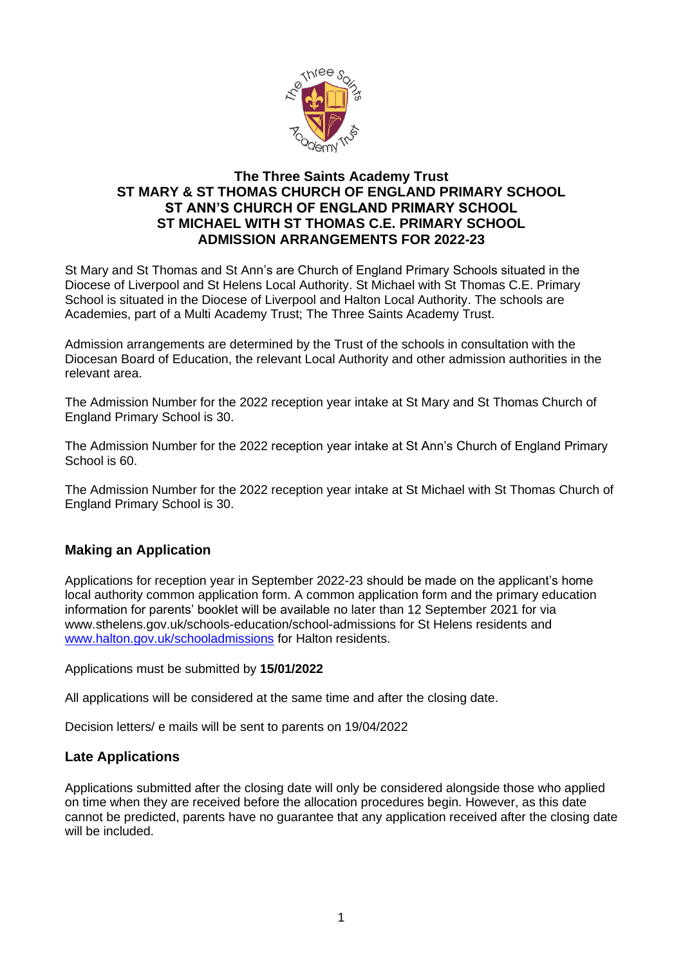

## **The Three Saints Academy Trust ST MARY & ST THOMAS CHURCH OF ENGLAND PRIMARY SCHOOL ST ANN'S CHURCH OF ENGLAND PRIMARY SCHOOL ST MICHAEL WITH ST THOMAS C.E. PRIMARY SCHOOL ADMISSION ARRANGEMENTS FOR 2022-23**

St Mary and St Thomas and St Ann's are Church of England Primary Schools situated in the Diocese of Liverpool and St Helens Local Authority. St Michael with St Thomas C.E. Primary School is situated in the Diocese of Liverpool and Halton Local Authority. The schools are Academies, part of a Multi Academy Trust; The Three Saints Academy Trust.

Admission arrangements are determined by the Trust of the schools in consultation with the Diocesan Board of Education, the relevant Local Authority and other admission authorities in the relevant area.

The Admission Number for the 2022 reception year intake at St Mary and St Thomas Church of England Primary School is 30.

The Admission Number for the 2022 reception year intake at St Ann's Church of England Primary School is 60.

The Admission Number for the 2022 reception year intake at St Michael with St Thomas Church of England Primary School is 30.

## **Making an Application**

Applications for reception year in September 2022-23 should be made on the applicant's home local authority common application form. A common application form and the primary education information for parents' booklet will be available no later than 12 September 2021 for via www.sthelens.gov.uk/schools-education/school-admissions for St Helens residents and [www.halton.gov.uk/schooladmissions](http://www.halton.gov.uk/schooladmissions) for Halton residents.

Applications must be submitted by **15/01/2022**

All applications will be considered at the same time and after the closing date.

Decision letters/ e mails will be sent to parents on 19/04/2022

#### **Late Applications**

Applications submitted after the closing date will only be considered alongside those who applied on time when they are received before the allocation procedures begin. However, as this date cannot be predicted, parents have no guarantee that any application received after the closing date will be included.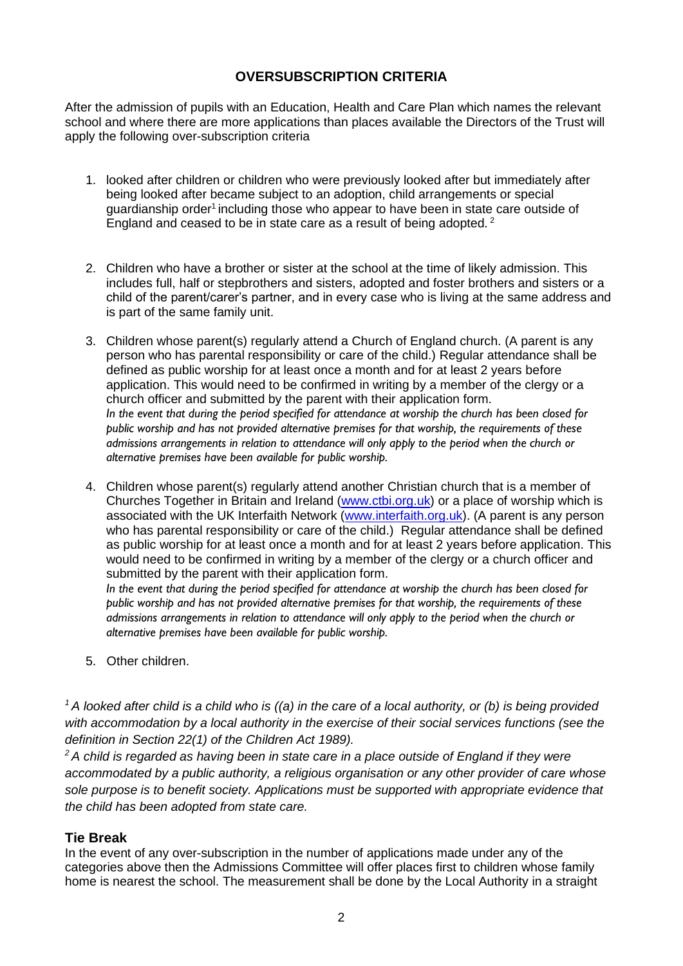# **OVERSUBSCRIPTION CRITERIA**

After the admission of pupils with an Education, Health and Care Plan which names the relevant school and where there are more applications than places available the Directors of the Trust will apply the following over-subscription criteria

- 1. looked after children or children who were previously looked after but immediately after being looked after became subject to an adoption, child arrangements or special quardianship order<sup>1</sup> including those who appear to have been in state care outside of England and ceased to be in state care as a result of being adopted.<sup>2</sup>
- 2. Children who have a brother or sister at the school at the time of likely admission. This includes full, half or stepbrothers and sisters, adopted and foster brothers and sisters or a child of the parent/carer's partner, and in every case who is living at the same address and is part of the same family unit.
- 3. Children whose parent(s) regularly attend a Church of England church. (A parent is any person who has parental responsibility or care of the child.) Regular attendance shall be defined as public worship for at least once a month and for at least 2 years before application. This would need to be confirmed in writing by a member of the clergy or a church officer and submitted by the parent with their application form. *In the event that during the period specified for attendance at worship the church has been closed for public worship and has not provided alternative premises for that worship, the requirements of these admissions arrangements in relation to attendance will only apply to the period when the church or alternative premises have been available for public worship.*
- 4. Children whose parent(s) regularly attend another Christian church that is a member of Churches Together in Britain and Ireland [\(www.ctbi.org.uk\)](http://www.ctbi.org.uk/) or a place of worship which is associated with the UK Interfaith Network [\(www.interfaith.org.uk\)](http://www.interfaith.org.uk/). (A parent is any person who has parental responsibility or care of the child.) Regular attendance shall be defined as public worship for at least once a month and for at least 2 years before application. This would need to be confirmed in writing by a member of the clergy or a church officer and submitted by the parent with their application form.

*In the event that during the period specified for attendance at worship the church has been closed for public worship and has not provided alternative premises for that worship, the requirements of these admissions arrangements in relation to attendance will only apply to the period when the church or alternative premises have been available for public worship.*

5. Other children.

*<sup>1</sup>A looked after child is a child who is ((a) in the care of a local authority, or (b) is being provided with accommodation by a local authority in the exercise of their social services functions (see the definition in Section 22(1) of the Children Act 1989).*

*<sup>2</sup>A child is regarded as having been in state care in a place outside of England if they were accommodated by a public authority, a religious organisation or any other provider of care whose sole purpose is to benefit society. Applications must be supported with appropriate evidence that the child has been adopted from state care.*

# **Tie Break**

In the event of any over-subscription in the number of applications made under any of the categories above then the Admissions Committee will offer places first to children whose family home is nearest the school. The measurement shall be done by the Local Authority in a straight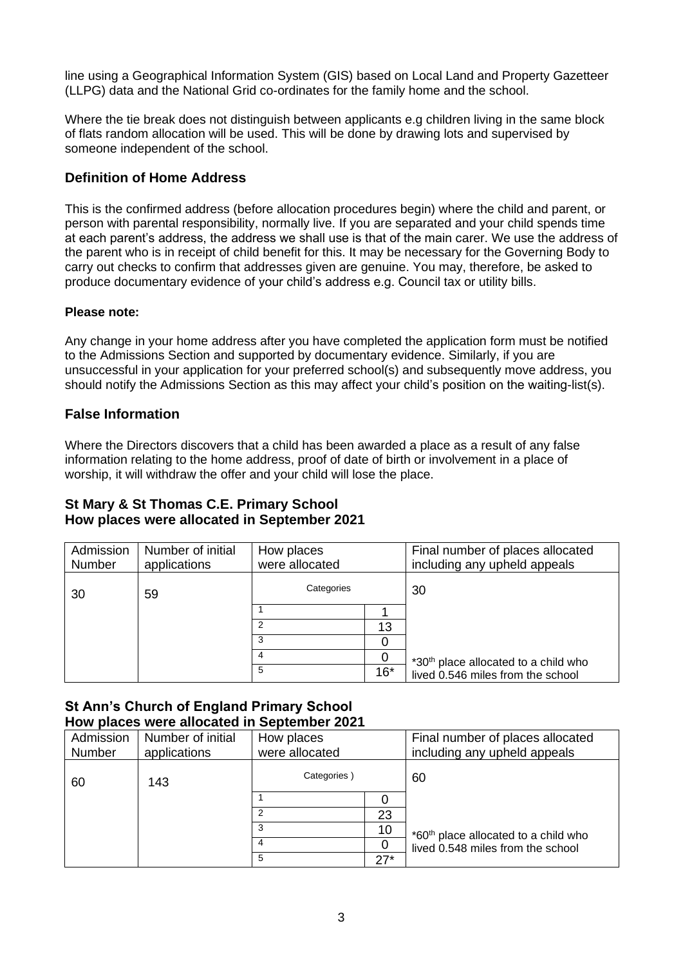line using a Geographical Information System (GIS) based on Local Land and Property Gazetteer (LLPG) data and the National Grid co-ordinates for the family home and the school.

Where the tie break does not distinguish between applicants e.g children living in the same block of flats random allocation will be used. This will be done by drawing lots and supervised by someone independent of the school.

## **Definition of Home Address**

This is the confirmed address (before allocation procedures begin) where the child and parent, or person with parental responsibility, normally live. If you are separated and your child spends time at each parent's address, the address we shall use is that of the main carer. We use the address of the parent who is in receipt of child benefit for this. It may be necessary for the Governing Body to carry out checks to confirm that addresses given are genuine. You may, therefore, be asked to produce documentary evidence of your child's address e.g. Council tax or utility bills.

#### **Please note:**

Any change in your home address after you have completed the application form must be notified to the Admissions Section and supported by documentary evidence. Similarly, if you are unsuccessful in your application for your preferred school(s) and subsequently move address, you should notify the Admissions Section as this may affect your child's position on the waiting-list(s).

#### **False Information**

Where the Directors discovers that a child has been awarded a place as a result of any false information relating to the home address, proof of date of birth or involvement in a place of worship, it will withdraw the offer and your child will lose the place.

#### **St Mary & St Thomas C.E. Primary School How places were allocated in September 2021**

| Admission<br>Number | Number of initial<br>applications | How places<br>were allocated |       | Final number of places allocated<br>including any upheld appeals |
|---------------------|-----------------------------------|------------------------------|-------|------------------------------------------------------------------|
| 30                  | 59                                | Categories                   |       | 30                                                               |
|                     |                                   |                              |       |                                                                  |
|                     |                                   |                              | 13    |                                                                  |
|                     |                                   | 3                            |       |                                                                  |
|                     |                                   | 4                            |       | *30th place allocated to a child who                             |
|                     |                                   | 5                            | $16*$ | lived 0.546 miles from the school                                |

#### **St Ann's Church of England Primary School How places were allocated in September 2021**

| Admission | Number of initial | How places     |       | Final number of places allocated                 |  |  |  |  |  |
|-----------|-------------------|----------------|-------|--------------------------------------------------|--|--|--|--|--|
| Number    | applications      | were allocated |       | including any upheld appeals                     |  |  |  |  |  |
| 60        | 143               | Categories)    |       | 60                                               |  |  |  |  |  |
|           |                   |                |       |                                                  |  |  |  |  |  |
|           |                   |                | 23    |                                                  |  |  |  |  |  |
|           |                   | 3              | 10    | *60 <sup>th</sup> place allocated to a child who |  |  |  |  |  |
|           |                   | 4              |       | lived 0.548 miles from the school                |  |  |  |  |  |
|           |                   | 5              | $27*$ |                                                  |  |  |  |  |  |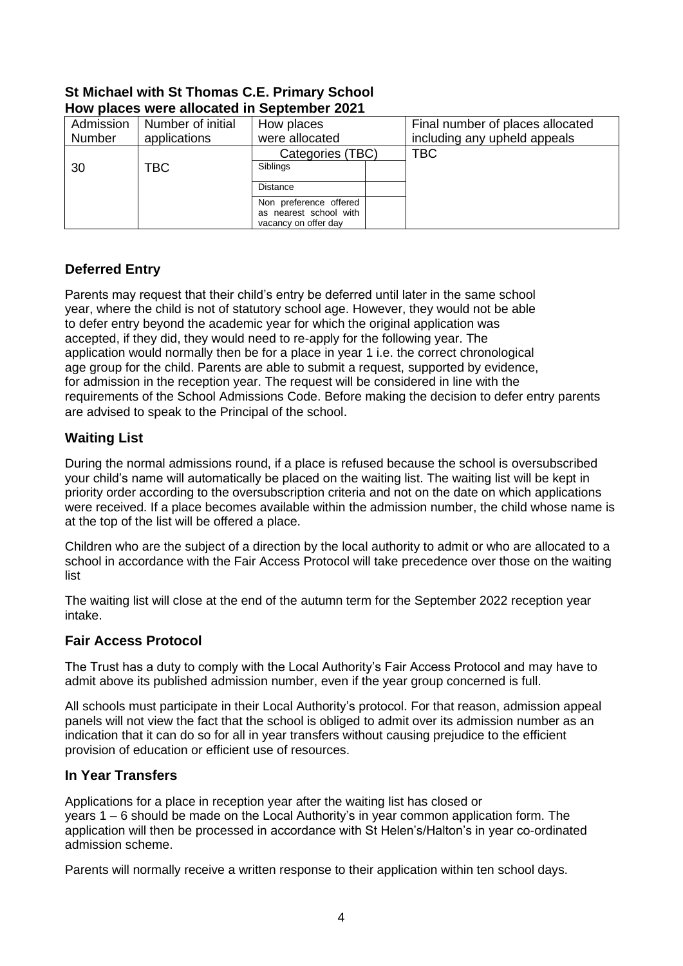## **St Michael with St Thomas C.E. Primary School How places were allocated in September 2021**

| Admission | Number of initial | How places                                                               | Final number of places allocated |  |  |  |  |  |
|-----------|-------------------|--------------------------------------------------------------------------|----------------------------------|--|--|--|--|--|
| Number    | applications      | were allocated                                                           | including any upheld appeals     |  |  |  |  |  |
|           |                   | Categories (TBC)                                                         | <b>TBC</b>                       |  |  |  |  |  |
| 30        | TBC               | Siblings                                                                 |                                  |  |  |  |  |  |
|           |                   | <b>Distance</b>                                                          |                                  |  |  |  |  |  |
|           |                   | Non preference offered<br>as nearest school with<br>vacancy on offer day |                                  |  |  |  |  |  |

# **Deferred Entry**

Parents may request that their child's entry be deferred until later in the same school year, where the child is not of statutory school age. However, they would not be able to defer entry beyond the academic year for which the original application was accepted, if they did, they would need to re-apply for the following year. The application would normally then be for a place in year 1 i.e. the correct chronological age group for the child. Parents are able to submit a request, supported by evidence, for admission in the reception year. The request will be considered in line with the requirements of the School Admissions Code. Before making the decision to defer entry parents are advised to speak to the Principal of the school.

# **Waiting List**

During the normal admissions round, if a place is refused because the school is oversubscribed your child's name will automatically be placed on the waiting list. The waiting list will be kept in priority order according to the oversubscription criteria and not on the date on which applications were received. If a place becomes available within the admission number, the child whose name is at the top of the list will be offered a place.

Children who are the subject of a direction by the local authority to admit or who are allocated to a school in accordance with the Fair Access Protocol will take precedence over those on the waiting list

The waiting list will close at the end of the autumn term for the September 2022 reception year intake.

# **Fair Access Protocol**

The Trust has a duty to comply with the Local Authority's Fair Access Protocol and may have to admit above its published admission number, even if the year group concerned is full.

All schools must participate in their Local Authority's protocol. For that reason, admission appeal panels will not view the fact that the school is obliged to admit over its admission number as an indication that it can do so for all in year transfers without causing prejudice to the efficient provision of education or efficient use of resources.

## **In Year Transfers**

Applications for a place in reception year after the waiting list has closed or years 1 – 6 should be made on the Local Authority's in year common application form. The application will then be processed in accordance with St Helen's/Halton's in year co-ordinated admission scheme.

Parents will normally receive a written response to their application within ten school days.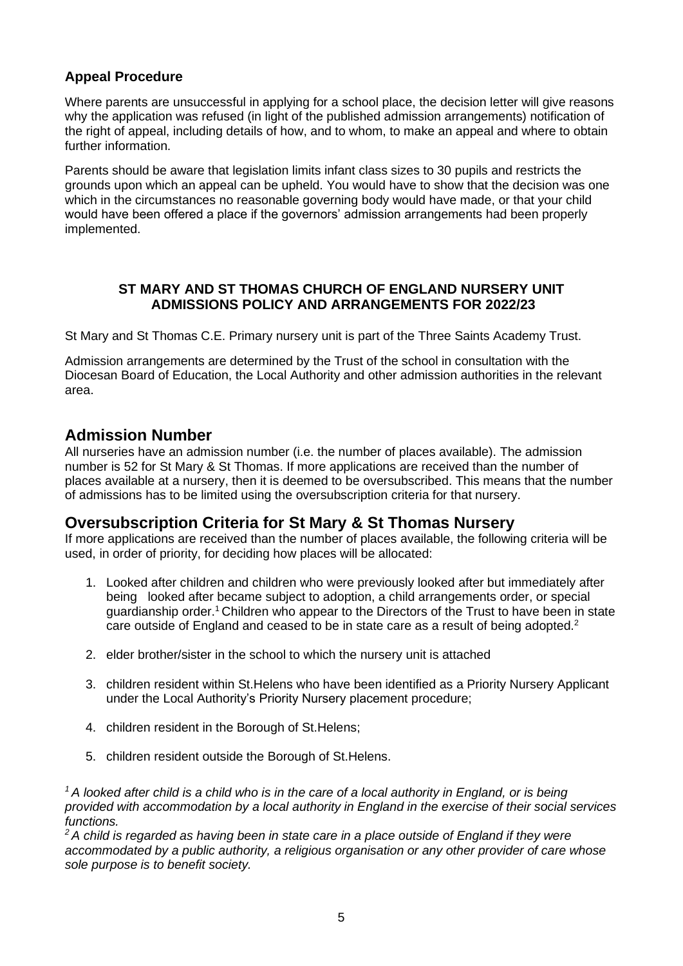# **Appeal Procedure**

Where parents are unsuccessful in applying for a school place, the decision letter will give reasons why the application was refused (in light of the published admission arrangements) notification of the right of appeal, including details of how, and to whom, to make an appeal and where to obtain further information.

Parents should be aware that legislation limits infant class sizes to 30 pupils and restricts the grounds upon which an appeal can be upheld. You would have to show that the decision was one which in the circumstances no reasonable governing body would have made, or that your child would have been offered a place if the governors' admission arrangements had been properly implemented.

# **ST MARY AND ST THOMAS CHURCH OF ENGLAND NURSERY UNIT ADMISSIONS POLICY AND ARRANGEMENTS FOR 2022/23**

St Mary and St Thomas C.E. Primary nursery unit is part of the Three Saints Academy Trust.

Admission arrangements are determined by the Trust of the school in consultation with the Diocesan Board of Education, the Local Authority and other admission authorities in the relevant area.

# **Admission Number**

All nurseries have an admission number (i.e. the number of places available). The admission number is 52 for St Mary & St Thomas. If more applications are received than the number of places available at a nursery, then it is deemed to be oversubscribed. This means that the number of admissions has to be limited using the oversubscription criteria for that nursery.

# **Oversubscription Criteria for St Mary & St Thomas Nursery**

If more applications are received than the number of places available, the following criteria will be used, in order of priority, for deciding how places will be allocated:

- 1. Looked after children and children who were previously looked after but immediately after being looked after became subject to adoption, a child arrangements order, or special guardianship order.<sup>1</sup>Children who appear to the Directors of the Trust to have been in state care outside of England and ceased to be in state care as a result of being adopted.<sup>2</sup>
- 2. elder brother/sister in the school to which the nursery unit is attached
- 3. children resident within St.Helens who have been identified as a Priority Nursery Applicant under the Local Authority's Priority Nursery placement procedure;
- 4. children resident in the Borough of St.Helens;
- 5. children resident outside the Borough of St.Helens.

*<sup>1</sup>A looked after child is a child who is in the care of a local authority in England, or is being provided with accommodation by a local authority in England in the exercise of their social services functions.* 

*<sup>2</sup>A child is regarded as having been in state care in a place outside of England if they were accommodated by a public authority, a religious organisation or any other provider of care whose sole purpose is to benefit society.*